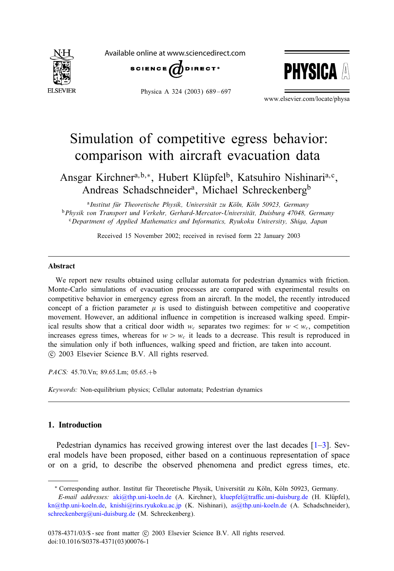<span id="page-0-0"></span>

Available online at www.sciencedirect.com



Physica A 324 (2003) 689-697



www.elsevier.com/locate/physa

# Simulation of competitive egress behavior: comparison with aircraft evacuation data

Ansgar Kirchner<sup>a, b,\*</sup>, Hubert Klüpfel<sup>b</sup>, Katsuhiro Nishinari<sup>a, c</sup>, Andreas Schadschneider<sup>a</sup>, Michael Schreckenberg<sup>b</sup>

<sup>a</sup> Institut für Theoretische Physik, Universität zu Köln, Köln 50923, Germany <sup>b</sup>*Physik von Transport und Verkehr, Gerhard-Mercator-Universitat, Duisburg 47048, Germany* <sup>c</sup>*Department of Applied Mathematics and Informatics, Ryukoku University, Shiga, Japan*

Received 15 November 2002; received in revised form 22 January 2003

#### Abstract

We report new results obtained using cellular automata for pedestrian dynamics with friction. Monte-Carlo simulations of evacuation processes are compared with experimental results on competitive behavior in emergency egress from an aircraft. In the model, the recently introduced concept of a friction parameter  $\mu$  is used to distinguish between competitive and cooperative movement. However, an additional influence in competition is increased walking speed. Empirical results show that a critical door width  $w_c$  separates two regimes: for  $w < w_c$ , competition increases egress times, whereas for  $w > w_c$  it leads to a decrease. This result is reproduced in the simulation only if both influences, walking speed and friction, are taken into account. -c 2003 Elsevier Science B.V. All rights reserved.

*PACS:* 45.70.Vn; 89.65.Lm; 05.65.+b

*Keywords:* Non-equilibrium physics; Cellular automata; Pedestrian dynamics

## 1. Introduction

Pedestrian dynamics has received growing interest over the last decades [\[1–3\]](#page-7-0). Several models have been proposed, either based on a continuous representation of space or on a grid, to describe the observed phenomena and predict egress times, etc.

[schreckenberg@uni-duisburg.de](mailto:schreckenberg@uni-duisburg.de) (M. Schreckenberg).

<sup>\*</sup> Corresponding author. Institut für Theoretische Physik, Universität zu Köln, Köln 50923, Germany. *E-mail addresses: [aki@thp.uni-koeln.de](mailto:aki@thp.uni-koeln.de) (A. Kirchner), kluepfel@traffic.uni-duisburg.de (H. Klüpfel),* [kn@thp.uni-koeln.de,](mailto:kn@thp.uni-koeln.de) [knishi@rins.ryukoku.ac.jp](mailto:knishi@rins.ryukoku.ac.jp) (K. Nishinari), [as@thp.uni-koeln.de](mailto:as@thp.uni-koeln.de) (A. Schadschneider),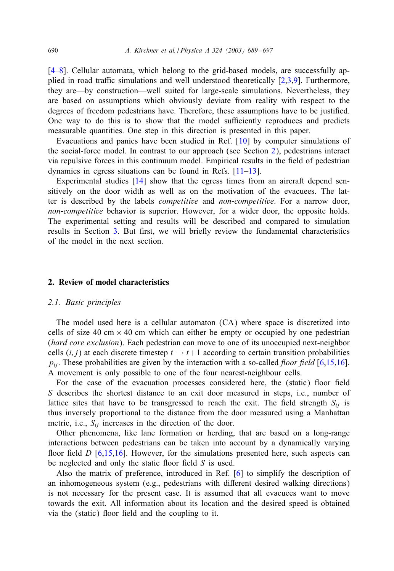[\[4](#page-7-0)[–8\]](#page-8-0). Cellular automata, which belong to the grid-based models, are successfully applied in road traffic simulations and well understood theoretically  $[2,3,9]$  $[2,3,9]$ . Furthermore, they are—by construction—well suited for large-scale simulations. Nevertheless, they are based on assumptions which obviously deviate from reality with respect to the degrees of freedom pedestrians have. Therefore, these assumptions have to be justified. One way to do this is to show that the model sufficiently reproduces and predicts measurable quantities. One step in this direction is presented in this paper.

Evacuations and panics have been studied in Ref. [\[10\]](#page-8-0) by computer simulations of the social-force model. In contrast to our approach (see Section 2), pedestrians interact via repulsive forces in this continuum model. Empirical results in the field of pedestrian dynamics in egress situations can be found in Refs. [\[11–13\]](#page-8-0).

Experimental studies [\[14\]](#page-8-0) show that the egress times from an aircraft depend sensitively on the door width as well as on the motivation of the evacuees. The latter is described by the labels *competitive* and *non-competitive*. For a narrow door, *non-competitive* behavior is superior. However, for a wider door, the opposite holds. The experimental setting and results will be described and compared to simulation results in Section [3.](#page-4-0) But first, we will briefly review the fundamental characteristics of the model in the next section.

## 2. Review of model characteristics

#### *2.1. Basic principles*

The model used here is a cellular automaton (CA) where space is discretized into cells of size 40 cm  $\times$  40 cm which can either be empty or occupied by one pedestrian (*hard core exclusion*). Each pedestrian can move to one of its unoccupied next-neighbor cells  $(i, j)$  at each discrete timestep  $t \to t+1$  according to certain transition probabilities  $p_{ij}$ . These probabilities are given by the interaction with a so-called *floor field* [\[6](#page-7-0)[,15,16\]](#page-8-0). A movement is only possible to one of the four nearest-neighbour cells.

For the case of the evacuation processes considered here, the (static) floor field S describes the shortest distance to an exit door measured in steps, i.e., number of lattice sites that have to be transgressed to reach the exit. The field strength  $S_{ii}$  is thus inversely proportional to the distance from the door measured using a Manhattan metric, i.e.,  $S_{ii}$  increases in the direction of the door.

Other phenomena, like lane formation or herding, that are based on a long-range interactions between pedestrians can be taken into account by a dynamically varying floor field  $D$  [\[6,](#page-7-0)[15,16\]](#page-8-0). However, for the simulations presented here, such aspects can be neglected and only the static floor field  $S$  is used.

Also the matrix of preference, introduced in Ref. [\[6\]](#page-7-0) to simplify the description of an inhomogeneous system (e.g., pedestrians with different desired walking directions) is not necessary for the present case. It is assumed that all evacuees want to move towards the exit. All information about its location and the desired speed is obtained via the (static) floor field and the coupling to it.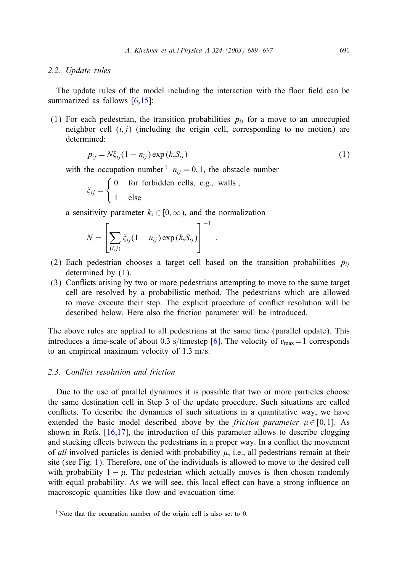## *2.2. Update rules*

The update rules of the model including the interaction with the floor field can be summarized as follows  $[6,15]$  $[6,15]$ :

(1) For each pedestrian, the transition probabilities  $p_{ij}$  for a move to an unoccupied neighbor cell  $(i, j)$  (including the origin cell, corresponding to no motion) are determined:

$$
p_{ij} = N\xi_{ij}(1 - n_{ij}) \exp(k_s S_{ij})
$$
\n(1)

:

with the occupation number  $n_{ii} = 0, 1$ , the obstacle number

$$
\xi_{ij} = \begin{cases} 0 & \text{for forbidden cells, e.g., walls,} \\ 1 & \text{else} \end{cases}
$$

a sensitivity parameter  $k_s \in [0, \infty)$ , and the normalization

$$
N = \left[\sum_{(i,j)} \xi_{ij} (1 - n_{ij}) \exp(k_s S_{ij})\right]^{-1}
$$

- (2) Each pedestrian chooses a target cell based on the transition probabilities  $p_{ii}$ determined by (1).
- (3) Con8icts arising by two or more pedestrians attempting to move to the same target cell are resolved by a probabilistic method. The pedestrians which are allowed to move execute their step. The explicit procedure of conflict resolution will be described below. Here also the friction parameter will be introduced.

The above rules are applied to all pedestrians at the same time (parallel update). This introduces a time-scale of about 0.3 s/timestep [\[6\]](#page-7-0). The velocity of  $v_{\text{max}}=1$  corresponds to an empirical maximum velocity of  $1.3 \text{ m/s}$ .

# 2.3. Conflict resolution and friction

Due to the use of parallel dynamics it is possible that two or more particles choose the same destination cell in Step 3 of the update procedure. Such situations are called conflicts. To describe the dynamics of such situations in a quantitative way, we have extended the basic model described above by the *friction parameter*  $\mu \in [0, 1]$ . As shown in Refs.  $[16,17]$ , the introduction of this parameter allows to describe clogging and stucking effects between the pedestrians in a proper way. In a conflict the movement of *all* involved particles is denied with probability  $\mu$ , i.e., all pedestrians remain at their site (see Fig. [1\)](#page-3-0). Therefore, one of the individuals is allowed to move to the desired cell with probability  $1 - \mu$ . The pedestrian which actually moves is then chosen randomly with equal probability. As we will see, this local effect can have a strong influence on macroscopic quantities like flow and evacuation time.

<sup>&</sup>lt;sup>1</sup> Note that the occupation number of the origin cell is also set to 0.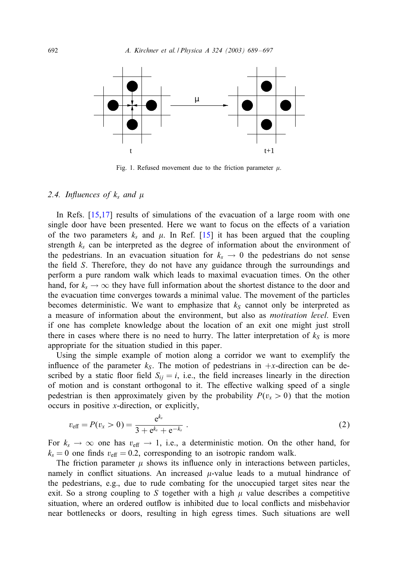<span id="page-3-0"></span>

Fig. 1. Refused movement due to the friction parameter  $\mu$ .

# $2.4.$  Influences of  $k_s$  and  $\mu$

In Refs. [\[15,17\]](#page-8-0) results of simulations of the evacuation of a large room with one single door have been presented. Here we want to focus on the effects of a variation of the two parameters  $k_s$  and  $\mu$ . In Ref. [\[15\]](#page-8-0) it has been argued that the coupling strength  $k_s$  can be interpreted as the degree of information about the environment of the pedestrians. In an evacuation situation for  $k_s \rightarrow 0$  the pedestrians do not sense the field S. Therefore, they do not have any guidance through the surroundings and perform a pure random walk which leads to maximal evacuation times. On the other hand, for  $k_s \to \infty$  they have full information about the shortest distance to the door and the evacuation time converges towards a minimal value. The movement of the particles becomes deterministic. We want to emphasize that  $k<sub>S</sub>$  cannot only be interpreted as a measure of information about the environment, but also as *motivation level*. Even if one has complete knowledge about the location of an exit one might just stroll there in cases where there is no need to hurry. The latter interpretation of  $k<sub>S</sub>$  is more appropriate for the situation studied in this paper.

Using the simple example of motion along a corridor we want to exemplify the influence of the parameter  $k<sub>S</sub>$ . The motion of pedestrians in +x-direction can be described by a static floor field  $S_{ij} = i$ , i.e., the field increases linearly in the direction of motion and is constant orthogonal to it. The effective walking speed of a single pedestrian is then approximately given by the probability  $P(v_x > 0)$  that the motion occurs in positive x-direction, or explicitly,

$$
v_{\text{eff}} = P(v_x > 0) = \frac{e^{k_s}}{3 + e^{k_s} + e^{-k_s}} \tag{2}
$$

For  $k_s \to \infty$  one has  $v_{\text{eff}} \to 1$ , i.e., a deterministic motion. On the other hand, for  $k_s = 0$  one finds  $v_{\text{eff}} = 0.2$ , corresponding to an isotropic random walk.

The friction parameter  $\mu$  shows its influence only in interactions between particles, namely in conflict situations. An increased  $\mu$ -value leads to a mutual hindrance of the pedestrians, e.g., due to rude combating for the unoccupied target sites near the exit. So a strong coupling to S together with a high  $\mu$  value describes a competitive situation, where an ordered outflow is inhibited due to local conflicts and misbehavior near bottlenecks or doors, resulting in high egress times. Such situations are well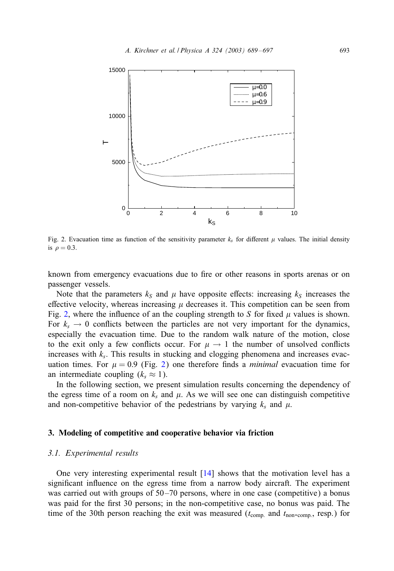<span id="page-4-0"></span>

Fig. 2. Evacuation time as function of the sensitivity parameter  $k_s$  for different  $\mu$  values. The initial density is  $\rho = 0.3$ .

known from emergency evacuations due to fire or other reasons in sports arenas or on passenger vessels.

Note that the parameters  $k<sub>S</sub>$  and  $\mu$  have opposite effects: increasing  $k<sub>S</sub>$  increases the effective velocity, whereas increasing  $\mu$  decreases it. This competition can be seen from Fig. 2, where the influence of an the coupling strength to S for fixed  $\mu$  values is shown. For  $k_s \rightarrow 0$  conflicts between the particles are not very important for the dynamics, especially the evacuation time. Due to the random walk nature of the motion, close to the exit only a few conflicts occur. For  $\mu \to 1$  the number of unsolved conflicts increases with  $k<sub>s</sub>$ . This results in stucking and clogging phenomena and increases evacuation times. For  $\mu = 0.9$  (Fig. 2) one therefore finds a *minimal* evacuation time for an intermediate coupling  $(k_s \approx 1)$ .

In the following section, we present simulation results concerning the dependency of the egress time of a room on  $k_s$  and  $\mu$ . As we will see one can distinguish competitive and non-competitive behavior of the pedestrians by varying  $k_s$  and  $\mu$ .

## 3. Modeling of competitive and cooperative behavior via friction

## *3.1. Experimental results*

One very interesting experimental result [\[14\]](#page-8-0) shows that the motivation level has a significant influence on the egress time from a narrow body aircraft. The experiment was carried out with groups of  $50-70$  persons, where in one case (competitive) a bonus was paid for the first 30 persons; in the non-competitive case, no bonus was paid. The time of the 30th person reaching the exit was measured ( $t_{\text{comp.}}$  and  $t_{\text{non-comp.}}$ , resp.) for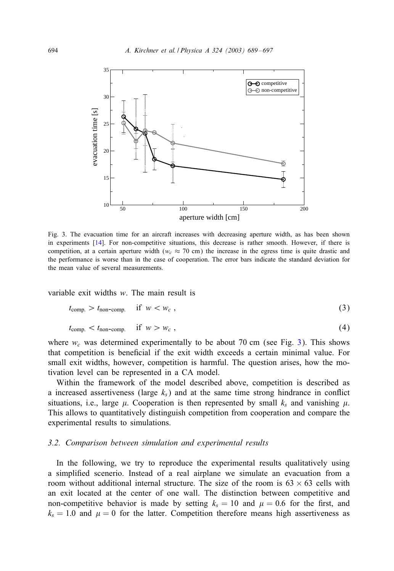

Fig. 3. The evacuation time for an aircraft increases with decreasing aperture width, as has been shown in experiments [\[14\]](#page-8-0). For non-competitive situations, this decrease is rather smooth. However, if there is competition, at a certain aperture width ( $w_c \approx 70$  cm) the increase in the egress time is quite drastic and the performance is worse than in the case of cooperation. The error bars indicate the standard deviation for the mean value of several measurements.

variable exit widths w. The main result is

$$
t_{\text{comp.}} > t_{\text{non-comp.}} \quad \text{if } w < w_c \,, \tag{3}
$$

$$
t_{\text{comp.}} < t_{\text{non-comp.}} \quad \text{if} \quad w > w_c \tag{4}
$$

where  $w_c$  was determined experimentally to be about 70 cm (see Fig. 3). This shows that competition is beneficial if the exit width exceeds a certain minimal value. For small exit widths, however, competition is harmful. The question arises, how the motivation level can be represented in a CA model.

Within the framework of the model described above, competition is described as a increased assertiveness (large  $k<sub>s</sub>$ ) and at the same time strong hindrance in conflict situations, i.e., large  $\mu$ . Cooperation is then represented by small  $k_s$  and vanishing  $\mu$ . This allows to quantitatively distinguish competition from cooperation and compare the experimental results to simulations.

## *3.2. Comparison between simulation and experimental results*

In the following, we try to reproduce the experimental results qualitatively using a simplified scenerio. Instead of a real airplane we simulate an evacuation from a room without additional internal structure. The size of the room is  $63 \times 63$  cells with an exit located at the center of one wall. The distinction between competitive and non-competitive behavior is made by setting  $k_s = 10$  and  $\mu = 0.6$  for the first, and  $k_s = 1.0$  and  $\mu = 0$  for the latter. Competition therefore means high assertiveness as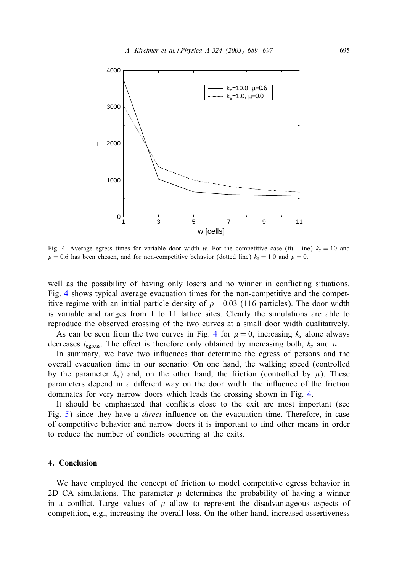

Fig. 4. Average egress times for variable door width w. For the competitive case (full line)  $k_s = 10$  and  $\mu = 0.6$  has been chosen, and for non-competitive behavior (dotted line)  $k_s = 1.0$  and  $\mu = 0$ .

well as the possibility of having only losers and no winner in conflicting situations. Fig. 4 shows typical average evacuation times for the non-competitive and the competitive regime with an initial particle density of  $\rho = 0.03$  (116 particles). The door width is variable and ranges from 1 to 11 lattice sites. Clearly the simulations are able to reproduce the observed crossing of the two curves at a small door width qualitatively.

As can be seen from the two curves in Fig. 4 for  $\mu = 0$ , increasing  $k_s$  alone always decreases  $t_{\text{egress}}$ . The effect is therefore only obtained by increasing both,  $k_s$  and  $\mu$ .

In summary, we have two influences that determine the egress of persons and the overall evacuation time in our scenario: On one hand, the walking speed (controlled by the parameter  $k_s$ ) and, on the other hand, the friction (controlled by  $\mu$ ). These parameters depend in a different way on the door width: the influence of the friction dominates for very narrow doors which leads the crossing shown in Fig. 4.

It should be emphasized that conflicts close to the exit are most important (see Fig. [5\)](#page-7-0) since they have a *direct* influence on the evacuation time. Therefore, in case of competitive behavior and narrow doors it is important to find other means in order to reduce the number of conflicts occurring at the exits.

## 4. Conclusion

We have employed the concept of friction to model competitive egress behavior in 2D CA simulations. The parameter  $\mu$  determines the probability of having a winner in a conflict. Large values of  $\mu$  allow to represent the disadvantageous aspects of competition, e.g., increasing the overall loss. On the other hand, increased assertiveness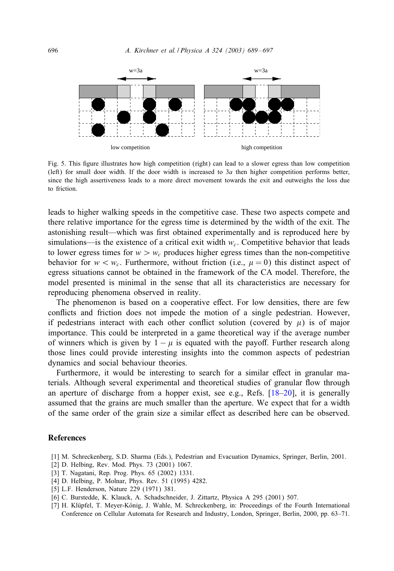<span id="page-7-0"></span>

Fig. 5. This figure illustrates how high competition (right) can lead to a slower egress than low competition (left) for small door width. If the door width is increased to  $3a$  then higher competition performs better, since the high assertiveness leads to a more direct movement towards the exit and outweighs the loss due to friction.

leads to higher walking speeds in the competitive case. These two aspects compete and there relative importance for the egress time is determined by the width of the exit. The astonishing result—which was first obtained experimentally and is reproduced here by simulations—is the existence of a critical exit width  $w_c$ . Competitive behavior that leads to lower egress times for  $w > w_c$  produces higher egress times than the non-competitive behavior for  $w < w_c$ . Furthermore, without friction (i.e.,  $\mu = 0$ ) this distinct aspect of egress situations cannot be obtained in the framework of the CA model. Therefore, the model presented is minimal in the sense that all its characteristics are necessary for reproducing phenomena observed in reality.

The phenomenon is based on a cooperative effect. For low densities, there are few conflicts and friction does not impede the motion of a single pedestrian. However, if pedestrians interact with each other conflict solution (covered by  $\mu$ ) is of major importance. This could be interpreted in a game theoretical way if the average number of winners which is given by  $1 - \mu$  is equated with the payoff. Further research along those lines could provide interesting insights into the common aspects of pedestrian dynamics and social behaviour theories.

Furthermore, it would be interesting to search for a similar effect in granular materials. Although several experimental and theoretical studies of granular flow through an aperture of discharge from a hopper exist, see e.g., Refs. [\[18–20\]](#page-8-0), it is generally assumed that the grains are much smaller than the aperture. We expect that for a width of the same order of the grain size a similar effect as described here can be observed.

## **References**

- [1] M. Schreckenberg, S.D. Sharma (Eds.), Pedestrian and Evacuation Dynamics, Springer, Berlin, 2001.
- [2] D. Helbing, Rev. Mod. Phys. 73 (2001) 1067.
- [3] T. Nagatani, Rep. Prog. Phys. 65 (2002) 1331.
- [4] D. Helbing, P. Molnar, Phys. Rev. 51 (1995) 4282.
- [5] L.F. Henderson, Nature 229 (1971) 381.
- [6] C. Burstedde, K. Klauck, A. Schadschneider, J. Zittartz, Physica A 295 (2001) 507.
- [7] H. Klüpfel, T. Meyer-König, J. Wahle, M. Schreckenberg, in: Proceedings of the Fourth International Conference on Cellular Automata for Research and Industry, London, Springer, Berlin, 2000, pp. 63–71.